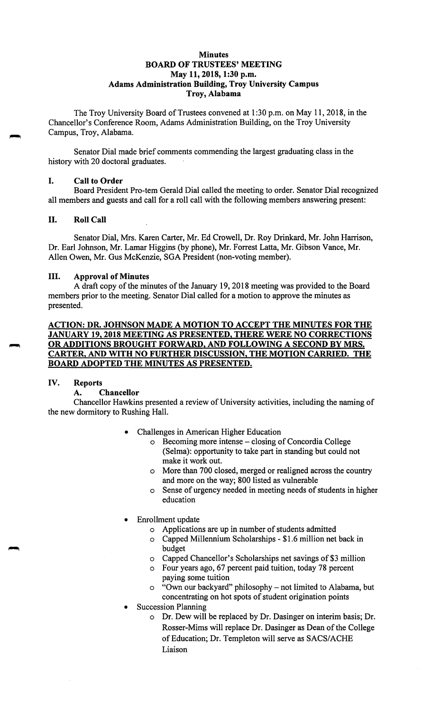### **Minutes BOARD OF TRUSTEES' MEETING May 11, 2018, 1:30 p.m. Adams Administration Building, Troy University Campus Troy, Alabama**

The Troy University Board of Trustees convened at 1:30 p.m. on May 11, 2018, in the Chancellor's Conference Room, Adams Administration Building, on the Troy University Campus, Troy, Alabama.

Senator Dial made brief comments commending the largest graduating class in the history with 20 doctoral graduates.

## I. **Call to Order**

Board President Pro-tern Gerald Dial called the meeting to order. Senator Dial recognized all members and guests and call for a roll call with the following members answering present:

# II. **Roll Call**

Senator Dial, Mrs. Karen Carter, Mr. Ed Crowell, Dr. Roy Drinkard, Mr. John Harrison, Dr. Earl Johnson, Mr. Lamar Higgins (by phone), Mr. Forrest Latta, Mr. Gibson Vance, Mr. Allen Owen, Mr. Gus McKenzie, SGA President (non-voting member).

#### III. **Approval of Minutes**

A draft copy of the minutes of the January 19, 2018 meeting was provided to the Board members prior to the meeting. Senator Dial called for a motion to approve the minutes as presented.

## **ACTION: DR. JOHNSON MADE A MOTION TO ACCEPT THE MINUTES FOR THE JANUARY 19, 2018 MEETING AS PRESENTED, THERE WERE NO CORRECTIONS OR ADDITIONS BROUGHT FORWARD, AND FOLLOWING A SECOND BY MRS. CARTER, AND WITH NO FURTHER DISCUSSION, THE MOTION CARRIED. THE BOARD ADOPTED THE MINUTES AS PRESENTED.**

### **IV. Reports**

## **A. Chancellor**

Chancellor Hawkins presented a review of University activities, including the naming of the new dormitory to Rushing Hall.

- Challenges in American Higher Education
	- o Becoming more intense closing of Concordia College (Selma): opportunity to take part in standing but could not make it work out.
	- o More than 700 closed, merged or realigned across the country and more on the way; 800 listed as vulnerable
	- o Sense of urgency needed in meeting needs of students in higher education
- Enrollment update
	- o Applications are up in number of students admitted
		- o Capped Millennium Scholarships \$1.6 million net back in budget
		- o Capped Chancellor's Scholarships net savings of \$3 million
		- o Four years ago, 67 percent paid tuition, today 78 percent paying some tuition
		- "Own our backyard" philosophy not limited to Alabama, but concentrating on hot spots of student origination points
- Succession Planning
	- o Dr. Dew will be replaced by Dr. Dasinger on interim basis; Dr. Rosser-Mims will replace Dr. Dasinger as Dean of the College of Education; Dr. Templeton will serve as SACS/ACHE Liaison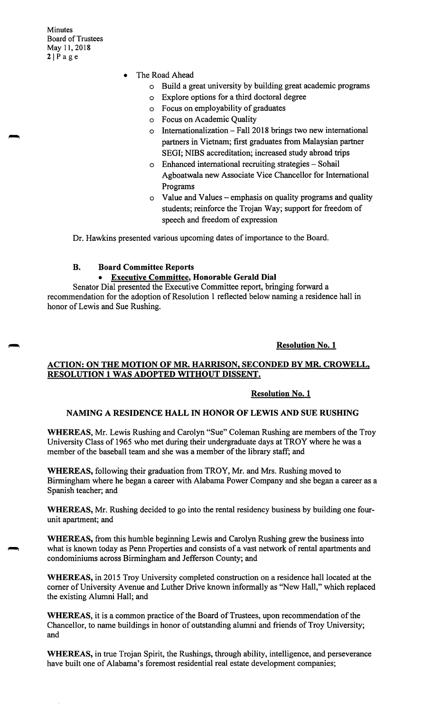Minutes Board of Trustees May 11, 2018  $2|P$ age

- The Road Ahead
	- o Build a great university by building great academic programs
	- o Explore options for a third doctoral degree
	- o Focus on employability of graduates
	- o Focus on Academic Quality
	- o Internationalization- Fall 2018 brings two new international partners in Vietnam; first graduates from Malaysian partner SEGI; NIBS accreditation; increased study abroad trips
	- o Enhanced international recruiting strategies Sohail Agboatwala new Associate Vice Chancellor for International Programs
	- $\circ$  Value and Values emphasis on quality programs and quality students; reinforce the Trojan Way; support for freedom of speech and freedom of expression

Dr. Hawkins presented various upcoming dates of importance to the Board.

## **B. Board Committee Reports**

#### • **Executive Committee, Honorable Gerald Dial**

Senator Dial presented the Executive Committee report, bringing forward a recommendation for the adoption of Resolution 1 reflected below naming a residence hall in honor of Lewis and Sue Rushing.

### **Resolution No. 1**

## **ACTION: ON THE MOTION OF MR. HARRISON, SECONDED BY MR. CROWELL, RESOLUTION 1 WAS ADOPTED WITHOUT DISSENT.**

#### **Resolution No. 1**

## **NAMING A RESIDENCE HALL** IN **HONOR OF LEWIS AND SUE RUSHING**

**WHEREAS,** Mr. Lewis Rushing and Carolyn "Sue" Coleman Rushing are members of the Troy University Class of 1965 who met during their undergraduate days at TROY where he was a member of the baseball team and she was a member of the library staff; and

**WHEREAS,** following their graduation from TROY, Mr. and Mrs. Rushing moved to Birmingham where he began a career with Alabama Power Company and she began a career as a Spanish teacher; and

**WHEREAS,** Mr. Rushing decided to go into the rental residency business by building one fourunit apartment; and

**WHEREAS,** from this humble beginning Lewis and Carolyn Rushing grew the business into what is known today as Penn Properties and consists of a vast network of rental apartments and condominiums across Birmingham and Jefferson County; and

**WHEREAS,** in 2015 Troy University completed construction on a residence hall located at the comer of University Avenue and Luther Drive known informally as "New Hall," which replaced the existing Alumni Hall; and

**WHEREAS,** it is a common practice of the Board of Trustees, upon recommendation of the Chancellor, to name buildings in honor of outstanding alumni and friends of Troy University; and

**WHEREAS,** in true Trojan Spirit, the Rushings, through ability, intelligence, and perseverance have built one of Alabama's foremost residential real estate development companies;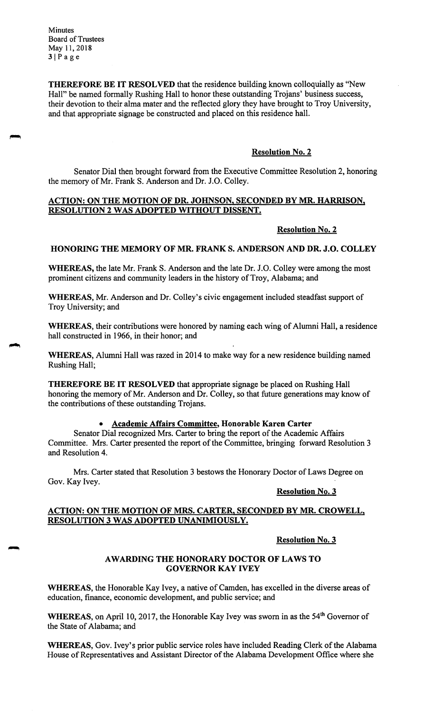Minutes Board of Trustees May 11, 2018  $3|Page$ 

**THEREFORE BE IT RESOLVED** that the residence building known colloquially as "New Hall" be named formally Rushing Hall to honor these outstanding Trojans' business success, their devotion to their alma mater and the reflected glory they have brought to Troy University, and that appropriate signage be constructed and placed on this residence hall.

### **Resolution No. 2**

Senator Dial then brought forward from the Executive Committee Resolution 2, honoring the memory of Mr. Frank S. Anderson and Dr. J.O. Colley.

#### **ACTION: ON THE MOTION OF DR. JOHNSON, SECONDED BY MR. HARRISON, RESOLUTION 2 WAS ADOPTED WITHOUT DISSENT.**

#### **Resolution No. 2**

## **HONORING THE MEMORY OF MR. FRANKS. ANDERSON AND DR. J.O. COLLEY**

**WHEREAS,** the late Mr. Frank S. Anderson and the late Dr. J.O. Colley were among the most prominent citizens and community leaders in the history of Troy, Alabama; and

WHEREAS, Mr. Anderson and Dr. Colley's civic engagement included steadfast support of Troy University; and

**WHEREAS,** their contributions were honored by naming each wing of Alumni Hall, a residence hall constructed in 1966, in their honor; and

**WHEREAS,** Alumni Hall was razed in 2014 to make way for a new residence building named Rushing Hall;

**THEREFORE BE IT RESOLVED** that appropriate signage be placed on Rushing Hall honoring the memory of Mr. Anderson and Dr. Colley, so that future generations may know of the contributions of these outstanding Trojans.

#### • **Academic Affairs Committee, Honorable Karen Carter**

Senator Dial recognized Mrs. Carter to bring the report of the Academic Affairs Committee. Mrs. Carter presented the report of the Committee, bringing forward Resolution 3 and Resolution 4.

Mrs. Carter stated that Resolution 3 bestows the Honorary Doctor of Laws Degree on Gov. Kay Ivey.

### **Resolution No. 3**

## **ACTION: ON THE MOTION OF MRS. CARTER, SECONDED BY MR. CROWELL, RESOLUTION 3 WAS ADOPTED UNANIMIOUSLY.**

#### **Resolution No. 3**

### **AWARDING THE HONORARY DOCTOR OF LAWS TO GOVERNOR KAY IVEY**

**WHEREAS,** the Honorable Kay Ivey, a native of Camden, has excelled in the diverse areas of education, finance, economic development, and public service; and

WHEREAS, on April 10, 2017, the Honorable Kay Ivey was sworn in as the 54<sup>th</sup> Governor of the State of Alabama; and

**WHEREAS,** Gov. Ivey's prior public service roles have included Reading Clerk of the Alabama House of Representatives and Assistant Director of the Alabama Development Office where she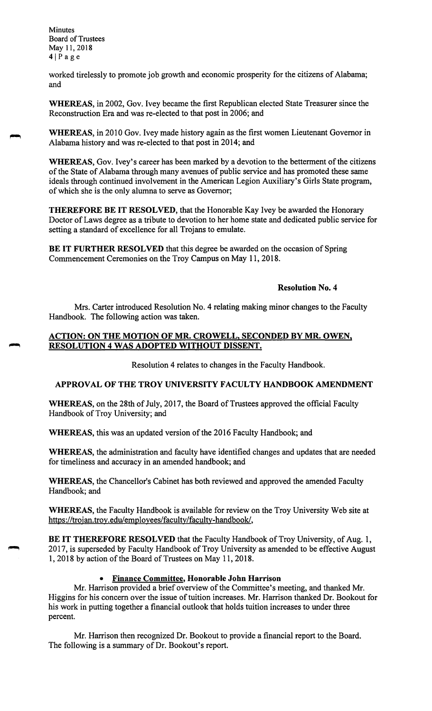Minutes Board of Trustees May 11, 2018  $4|Page$ 

worked tirelessly to promote job growth and economic prosperity for the citizens of Alabama; and

**WHEREAS,** in 2002, Gov. Ivey became the first Republican elected State Treasurer since the Reconstruction Era and was re-elected to that post in 2006; and

**WHEREAS,** in 2010 Gov. Ivey made history again as the first women Lieutenant Governor in Alabama history and was re-elected to that post in 2014; and

**WHEREAS,** Gov. Ivey's career has been marked by a devotion to the betterment of the citizens of the State of Alabama through many avenues of public service and has promoted these same ideals through continued involvement in the American Legion Auxiliary's Girls State program, of which she is the only alumna to serve as Governor;

**THEREFORE BE IT RESOLVED,** that the Honorable Kay Ivey be awarded the Honorary Doctor of Laws degree as a tribute to devotion to her home state and dedicated public service for setting a standard of excellence for all Trojans to emulate.

**BE IT FURTHER RESOLVED** that this degree be awarded on the occasion of Spring Commencement Ceremonies on the Troy Campus on May 11, 2018.

#### **Resolution No. 4**

Mrs. Carter introduced Resolution No. 4 relating making minor changes to the Faculty Handbook. The following action was taken.

## **ACTION: ON THE MOTION OF MR. CROWELL, SECONDED BY MR. OWEN, RESOLUTION 4 WAS ADOPTED WITHOUT DISSENT.**

Resolution 4 relates to changes in the Faculty Handbook.

## **APPROVAL OF THE TROY UNIVERSITY FACULTY HANDBOOK AMENDMENT**

**WHEREAS,** on the 28th of July, 2017, the Board of Trustees approved the official Faculty Handbook of Troy University; and

**WHEREAS,** this was an updated version of the 2016 Faculty Handbook; and

**WHEREAS,** the administration and faculty have identified changes and updates that are needed for timeliness and accuracy in an amended handbook; and

**WHEREAS,** the Chancellor's Cabinet has both reviewed and approved the amended Faculty Handbook; and

**WHEREAS,** the Faculty Handbook is available for review on the Troy University Web site at [https://trojan.troy.edu/employees/faculty/faculty-handbook/](https://trojan.troy.edu/employees/faculty/faculty-handbook),

**BE IT THEREFORE RESOLVED** that the Faculty Handbook of Troy University, of Aug. 1, 2017, is superseded by Faculty Handbook of Troy University as amended to be effective August 1, 2018 by action of the Board of Trustees on May 11, 2018.

#### • **Finance Committee, Honorable John Harrison**

Mr. Harrison provided a brief overview of the Committee's meeting, and thanked Mr. Higgins for his concern over the issue of tuition increases. Mr. Harrison thanked Dr. Bookout for his work in putting together a financial outlook that holds tuition increases to under three percent.

Mr. Harrison then recognized Dr. Bookout to provide a financial report to the Board. The following is a summary of Dr. Bookout's report.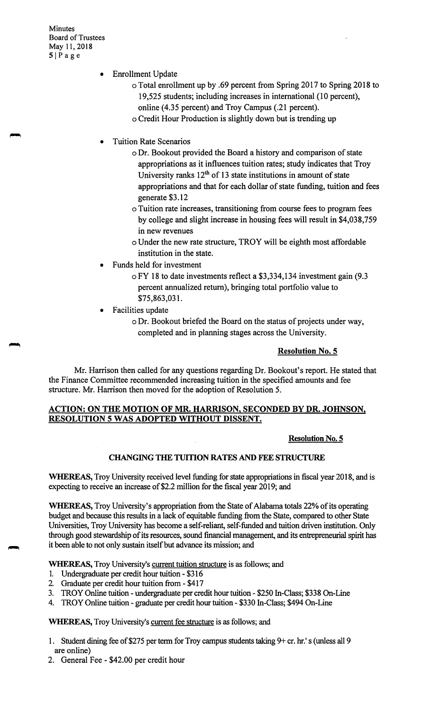Minutes Board of Trustees May 11, 2018 SIPage

- Enrollment Update
	- o Total enrollment up by .69 percent from Spring 2017 to Spring 2018 to 19,525 students; including increases in international (10 percent), online (4.35 percent) and Troy Campus (.21 percent).
	- o Credit Hour Production is slightly down but is trending up
- Tuition Rate Scenarios
	- o Dr. Bookout provided the Board a history and comparison of state appropriations as it influences tuition rates; study indicates that Troy University ranks  $12<sup>th</sup>$  of 13 state institutions in amount of state appropriations and that for each dollar of state funding, tuition and fees generate \$3 .12
	- o Tuition rate increases, transitioning from course fees to program fees by college and slight increase in housing fees will result in \$4,038,759 in new revenues
	- o Under the new rate structure, TROY will be eighth most affordable institution in the state.
- Funds held for investment
	- o FY 18 to date investments reflect a \$3,334,134 investment gain (9.3 percent annualized return), bringing total portfolio value to \$75,863,031.
- Facilities update
	- o Dr. Bookout briefed the Board on the status of projects under way, completed and in planning stages across the University.

## **Resolution No. 5**

Mr. Harrison then called for any questions regarding Dr. Bookout's report. He stated that the Finance Committee recommended increasing tuition in the specified amounts and fee structure. Mr. Harrison then moved for the adoption of Resolution 5.

## **ACTION: ON THE MOTION OF MR. HARRISON, SECONDED BY DR. JOHNSON, RESOLUTION 5 WAS ADOPTED WITHOUT DISSENT.**

## **Resolution No. 5**

## **CHANGING THE TUITION RATES AND FEE STRUCTURE**

**WHEREAS,**Troy University received level funding for state appropriations in fiscal year 2018, and is expecting to receive an increase of \$2.2 million for the fiscal year 2019; and

WHEREAS, Troy University's appropriation from the State of Alabama totals 22% of its operating budget and because this results in a lack of equitable funding from the State, compared to other State Universities, Troy University has become a self-reliant, self-funded and tuition driven institution. Only through good stewardship of its resources, sound financial management, and its entrepreneurial spirit has it been able to not only sustain itself but advance its mission; and

**WHEREAS,**Troy University's current tuition structure is as follows; and

- 1. Undergraduate per credit hour tuition \$316
- 2. Graduate per credit hour tuition from \$417
- 3. TROY Online tuition undergraduate per credit hour tuition \$250 In-Class; \$338 On-Line
- 4. TROY Online tuition graduate per credit hour tuition \$330 In-Class; \$494 On-Line

**WHEREAS,**Troy University's current fee structure is as follows; and

- 1. Student dining fee of \$275 per term for Troy campus students taking 9+ cr. hr.'s (unless all 9 are online)
- 2. General Fee \$42.00 per credit hour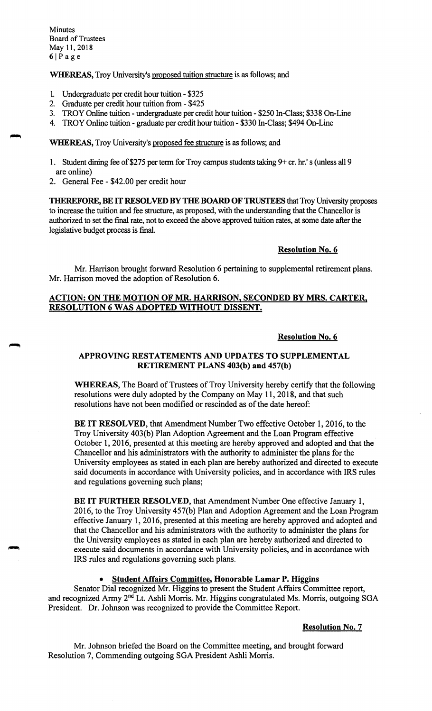Minutes Board of Trustees May 11, 2018  $6|Page$ 

**WHEREAS,** Troy University's proposed tuition structure is as follows; and

- 1. Undergraduate per credit hour tuition \$325
- 2. Graduate per credit hour tuition from \$425
- 3. TROY Online tuition undergraduate per credit hour tuition \$250 In-Class; \$338 On-Line
- 4. TROY Online tuition graduate per credit hour tuition \$330 In-Class; \$494 On-Line

**WHEREAS,** Troy University's proposed fee structure is as follows; and

- 1. Student dining fee of\$275 per term for Troy campus students taking 9+ er. hr.'s (unless all 9 are online)
- 2. General Fee \$42.00 per credit hour

**THEREFORE, BE** IT **RESOLVED BY THE BOARD OF TRUSTEES** that Troy University proposes to increase the tuition and fee structure, as proposed, with the understanding that the Chancellor is authorized to set the final rate, not to exceed the above approved tuition rates, at some date after the legislative budget process is final.

### **Resolution No. 6**

Mr. Harrison brought forward Resolution 6 pertaining to supplemental retirement plans. Mr. Harrison moved the adoption of Resolution 6.

## **ACTION: ON THE MOTION OF MR. HARRISON, SECONDED BY MRS. CARTER, RESOLUTION 6 WAS ADOPTED WITHOUT DISSENT.**

#### **Resolution No. 6**

### **APPROVING RESTATEMENTS AND UPDATES TO SUPPLEMENTAL RETIREMENT PLANS 403(b) and 457(b)**

**WHEREAS,** The Board of Trustees of Troy University hereby certify that the following resolutions were duly adopted by the Company on May 11, 2018, and that such resolutions have not been modified or rescinded as of the date hereof:

**BE IT RESOLVED,** that Amendment Number Two effective October 1, 2016, to the Troy University 403(b) Plan Adoption Agreement and the Loan Program effective October 1, 2016, presented at this meeting are hereby approved and adopted and that the Chancellor and his administrators with the authority to administer the plans for the University employees as stated in each plan are hereby authorized and directed to execute said documents in accordance with University policies, and in accordance with IRS rules and regulations governing such plans;

**BE IT FURTHER RESOLVED,** that Amendment Number One effective January 1, 2016, to the Troy University 457(b) Plan and Adoption Agreement and the Loan Program effective January 1, 2016, presented at this meeting are hereby approved and adopted and that the Chancellor and his administrators with the authority to administer the plans for the University employees as stated in each plan are hereby authorized and directed to execute said documents in accordance with University policies, and in accordance with IRS rules and regulations governing such plans.

### • **Student Affairs Committee, Honorable Lamar P. Higgins**

Senator Dial recognized Mr. Higgins to present the Student Affairs Committee report, and recognized Army 2<sup>nd</sup> Lt. Ashli Morris. Mr. Higgins congratulated Ms. Morris, outgoing SGA President. Dr. Johnson was recognized to provide the Committee Report.

#### **Resolution No.** 7

Mr. Johnson briefed the Board on the Committee meeting, and brought forward Resolution 7, Commending outgoing SGA President Ashli Morris.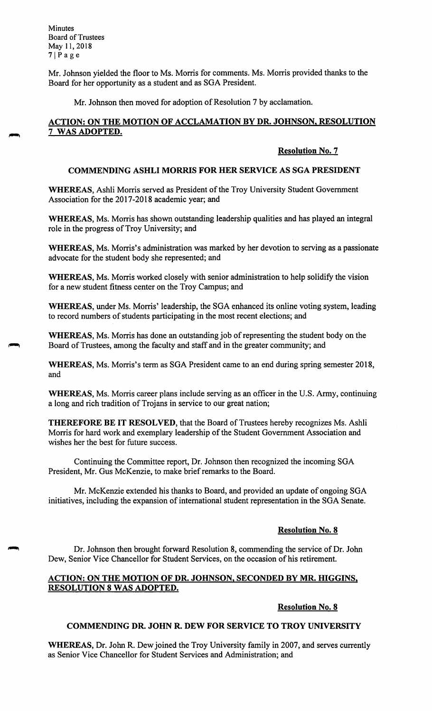**Minutes** Board of Trustees May 11, 2018  $7|P$ age

Mr. Johnson yielded the floor to Ms. Morris for comments. Ms. Morris provided thanks to the Board for her opportunity as a student and as SGA President.

Mr. Johnson then moved for adoption of Resolution 7 by acclamation.

## **ACTION: ON THE MOTION OF ACCLAMATION BY DR. JOHNSON, RESOLUTION**  7 **WAS ADOPTED.**

### **Resolution No.** 7

#### **COMMENDING ASHLI MORRIS FOR HER SERVICE AS SGA PRESIDENT**

**WHEREAS,** Ashli Morris served as President of the Troy University Student Government Association for the 2017-2018 academic year; and

**WHEREAS,** Ms. Morris has shown outstanding leadership qualities and has played an integral role in the progress of Troy University; and

**WHEREAS,** Ms. Morris's administration was marked by her devotion to serving as a passionate advocate for the student body she represented; and

**WHEREAS,** Ms. Morris worked closely with senior administration to help solidify the vision for a new student fitness center on the Troy Campus; and

**WHEREAS,** under Ms. Morris' leadership, the SGA enhanced its online voting system, leading to record numbers of students participating in the most recent elections; and

**WHEREAS,** Ms. Morris has done an outstanding job of representing the student body on the Board of Trustees, among the faculty and staff and in the greater community; and

**WHEREAS,** Ms. Morris's term as SGA President came to an end during spring semester 2018, and

**WHEREAS,** Ms. Morris career plans include serving as an officer in the U.S. Army, continuing a long and rich tradition of Trojans in service to our great nation;

**THEREFORE BE IT RESOLVED,** that the Board of Trustees hereby recognizes Ms. Ashli Morris for hard work and exemplary leadership of the Student Government Association and wishes her the best for future success.

Continuing the Committee report, Dr. Johnson then recognized the incoming SGA President, Mr. Gus McKenzie, to make brief remarks to the Board.

Mr. McKenzie extended his thanks to Board, and provided an update of ongoing SGA initiatives, including the expansion of international student representation in the SGA Senate.

#### **Resolution No. 8**

Dr. Johnson then brought forward Resolution 8, commending the service of Dr. John Dew, Senior Vice Chancellor for Student Services, on the occasion of his retirement.

### **ACTION: ON THE MOTION OF DR. JOHNSON, SECONDED BY MR. HIGGINS, RESOLUTION 8 WAS ADOPTED.**

**Resolution No. 8** 

## **COMMENDING DR. JOHN R. DEW FOR SERVICE TO TROY UNIVERSITY**

**WHEREAS,** Dr. John R. Dew joined the Troy University family in 2007, and serves currently as Senior Vice Chancellor for Student Services and Administration; and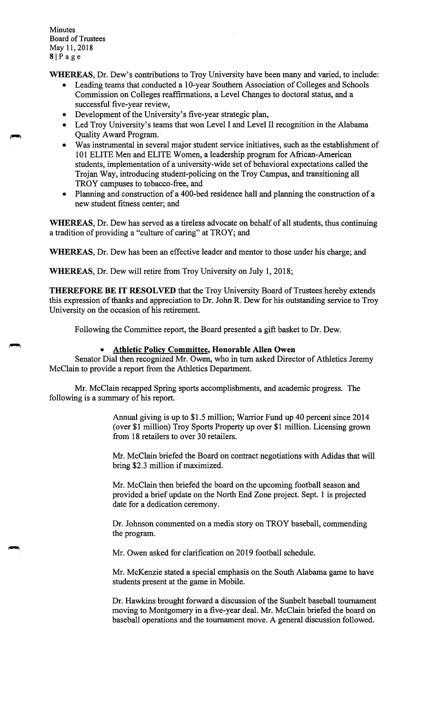- **WHEREAS,** Dr. Dew's contributions to Troy University have been many and varied, to include:
	- Leading teams that conducted a 10-year Southern Association of Colleges and Schools Commission on Colleges reaffirmations, a Level Changes to doctoral status, and a successful five-year review,
	- Development of the University's five-year strategic plan,
	- Led Troy University's teams that won Level I and Level II recognition in the Alabama Quality Award Program.·
	- Was instrumental in several major student service initiatives, such as the establishment of 101 ELITE Men and ELITE Women, a leadership program for African-American students, implementation of a university-wide set of behavioral expectations called the Trojan Way, introducing student-policing on the Troy Campus, and transitioning all TROY campuses to tobacco-free, and
	- Planning and construction of a 400-bed residence hall and planning the construction of a new student fitness center; and

**WHEREAS,** Dr. Dew has served as a tireless advocate on behalf of all students, thus continuing a tradition of providing a "culture of caring" at TROY; and

**WHEREAS,** Dr. Dew has been an effective leader and mentor to those under his charge; and

**WHEREAS,** Dr. Dew will retire from Troy University on July 1, 2018;

**THEREFORE BE IT RESOLVED** that the Troy University Board of Trustees hereby extends this expression of thanks and appreciation to Dr. John R. Dew for his outstanding service to Troy University on the occasion of his retirement.

Following the Committee report, the Board presented a gift basket to Dr. Dew.

### • **Athletic Policy Committee, Honorable Allen Owen**

Senator Dial then recognized Mr. Owen, who in tum asked Director of Athletics Jeremy McClain to provide a report from the Athletics Department.

Mr. McClain recapped Spring sports accomplishments, and academic progress. The following is a summary of his report.

> Annual giving is up to \$1.5 million; Warrior Fund up 40 percent since 2014 ( over \$1 million) Troy Sports Property up over \$1 million. Licensing grown from 18 retailers to over 30 retailers.

Mr. McClain briefed the Board on contract negotiations with Adidas that will bring \$2.3 million if maximized.

Mr. McClain then briefed the board on the upcoming football season and provided a brief update on the North End Zone project. Sept. 1 is projected date for a dedication ceremony.

Dr. Johnson commented on a media story on TROY baseball, commending the program.

Mr. Owen asked for clarification on 2019 football schedule.

Mr. McKenzie stated a special emphasis on the South Alabama game to have students present at the game in Mobile.

Dr. Hawkins brought forward a discussion of the Sunbelt baseball tournament moving to Montgomery in a five-year deal. Mr. McClain briefed the board on baseball operations and the tournament move. A general discussion followed.